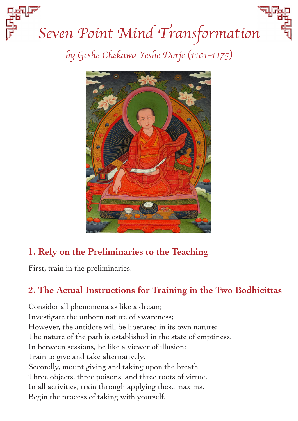# *Seven Point Mind Transformation by Geshe Chekawa Yeshe Dorje (1101–1175)*



## **1. Rely on the Preliminaries to the Teaching**

First, train in the preliminaries.

#### **2. The Actual Instructions for Training in the Two Bodhicittas**

Consider all phenomena as like a dream; Investigate the unborn nature of awareness; However, the antidote will be liberated in its own nature; The nature of the path is established in the state of emptiness. In between sessions, be like a viewer of illusion; Train to give and take alternatively. Secondly, mount giving and taking upon the breath Three objects, three poisons, and three roots of virtue. In all activities, train through applying these maxims. Begin the process of taking with yourself.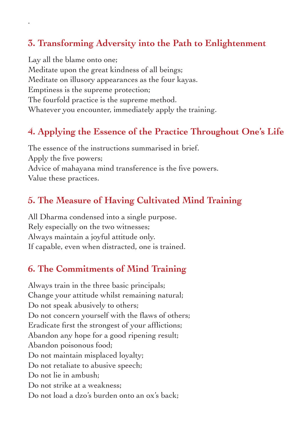#### **3. Transforming Adversity into the Path to Enlightenment**

Lay all the blame onto one; Meditate upon the great kindness of all beings; Meditate on illusory appearances as the four kayas. Emptiness is the supreme protection; The fourfold practice is the supreme method. Whatever you encounter, immediately apply the training.

.

## **4. Applying the Essence of the Practice Throughout One's Life**

The essence of the instructions summarised in brief. Apply the five powers; Advice of mahayana mind transference is the five powers. Value these practices.

#### **5. The Measure of Having Cultivated Mind Training**

All Dharma condensed into a single purpose. Rely especially on the two witnesses; Always maintain a joyful attitude only. If capable, even when distracted, one is trained.

#### **6. The Commitments of Mind Training**

Always train in the three basic principals; Change your attitude whilst remaining natural; Do not speak abusively to others; Do not concern yourself with the flaws of others; Eradicate first the strongest of your afflictions; Abandon any hope for a good ripening result; Abandon poisonous food; Do not maintain misplaced loyalty; Do not retaliate to abusive speech; Do not lie in ambush; Do not strike at a weakness: Do not load a dzo's burden onto an ox's back;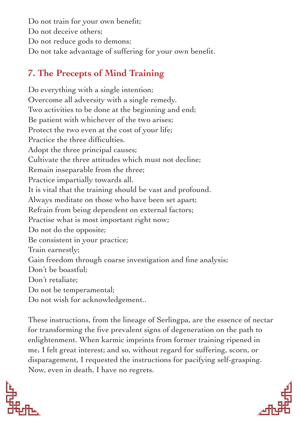Do not train for your own benefit; Do not deceive others; Do not reduce gods to demons; Do not take advantage of suffering for your own benefit.

## **7. The Precepts of Mind Training**

Do everything with a single intention; Overcome all adversity with a single remedy. Two activities to be done at the beginning and end; Be patient with whichever of the two arises; Protect the two even at the cost of your life; Practice the three difficulties. Adopt the three principal causes; Cultivate the three attitudes which must not decline; Remain inseparable from the three; Practice impartially towards all. It is vital that the training should be vast and profound. Always meditate on those who have been set apart; Refrain from being dependent on external factors; Practise what is most important right now; Do not do the opposite; Be consistent in your practice; Train earnestly; Gain freedom through coarse investigation and fine analysis; Don't be boastful; Don't retaliate; Do not be temperamental; Do not wish for acknowledgement..

These instructions, from the lineage of Serlingpa, are the essence of nectar for transforming the five prevalent signs of degeneration on the path to enlightenment. When karmic imprints from former training ripened in me, I felt great interest; and so, without regard for suffering, scorn, or disparagement, I requested the instructions for pacifying self-grasping. Now, even in death, I have no regrets.